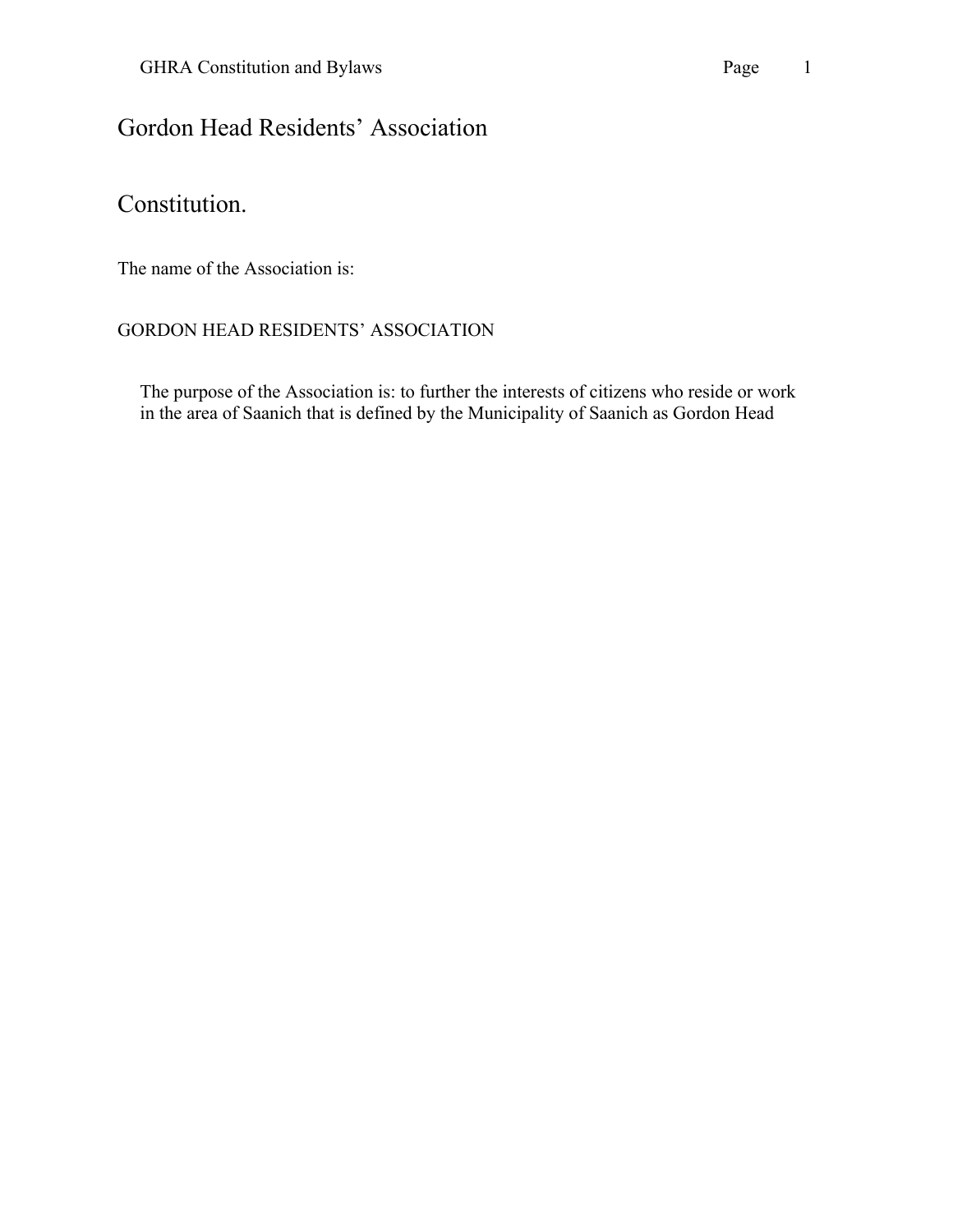# Gordon Head Residents' Association

# Constitution.

The name of the Association is:

#### GORDON HEAD RESIDENTS' ASSOCIATION

The purpose of the Association is: to further the interests of citizens who reside or work in the area of Saanich that is defined by the Municipality of Saanich as Gordon Head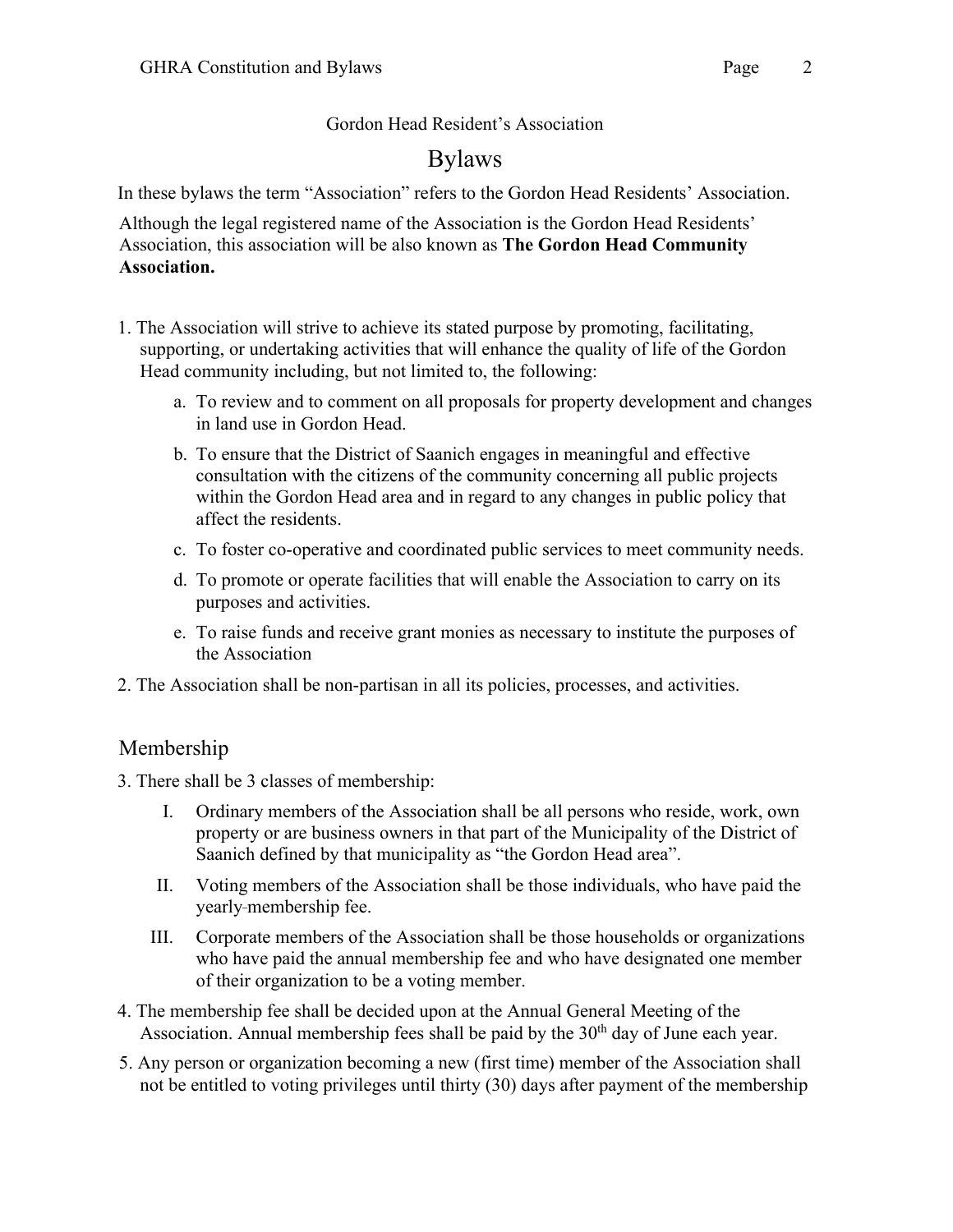#### Gordon Head Resident's Association

# Bylaws

In these bylaws the term "Association" refers to the Gordon Head Residents' Association.

Although the legal registered name of the Association is the Gordon Head Residents' Association, this association will be also known as **The Gordon Head Community Association.**

- 1. The Association will strive to achieve its stated purpose by promoting, facilitating, supporting, or undertaking activities that will enhance the quality of life of the Gordon Head community including, but not limited to, the following:
	- a. To review and to comment on all proposals for property development and changes in land use in Gordon Head.
	- b. To ensure that the District of Saanich engages in meaningful and effective consultation with the citizens of the community concerning all public projects within the Gordon Head area and in regard to any changes in public policy that affect the residents.
	- c. To foster co-operative and coordinated public services to meet community needs.
	- d. To promote or operate facilities that will enable the Association to carry on its purposes and activities.
	- e. To raise funds and receive grant monies as necessary to institute the purposes of the Association
- 2. The Association shall be non-partisan in all its policies, processes, and activities.

## Membership

- 3. There shall be 3 classes of membership:
	- I. Ordinary members of the Association shall be all persons who reside, work, own property or are business owners in that part of the Municipality of the District of Saanich defined by that municipality as "the Gordon Head area".
	- II. Voting members of the Association shall be those individuals, who have paid the yearly membership fee.
	- III. Corporate members of the Association shall be those households or organizations who have paid the annual membership fee and who have designated one member of their organization to be a voting member.
- 4. The membership fee shall be decided upon at the Annual General Meeting of the Association. Annual membership fees shall be paid by the  $30<sup>th</sup>$  day of June each year.
- 5. Any person or organization becoming a new (first time) member of the Association shall not be entitled to voting privileges until thirty (30) days after payment of the membership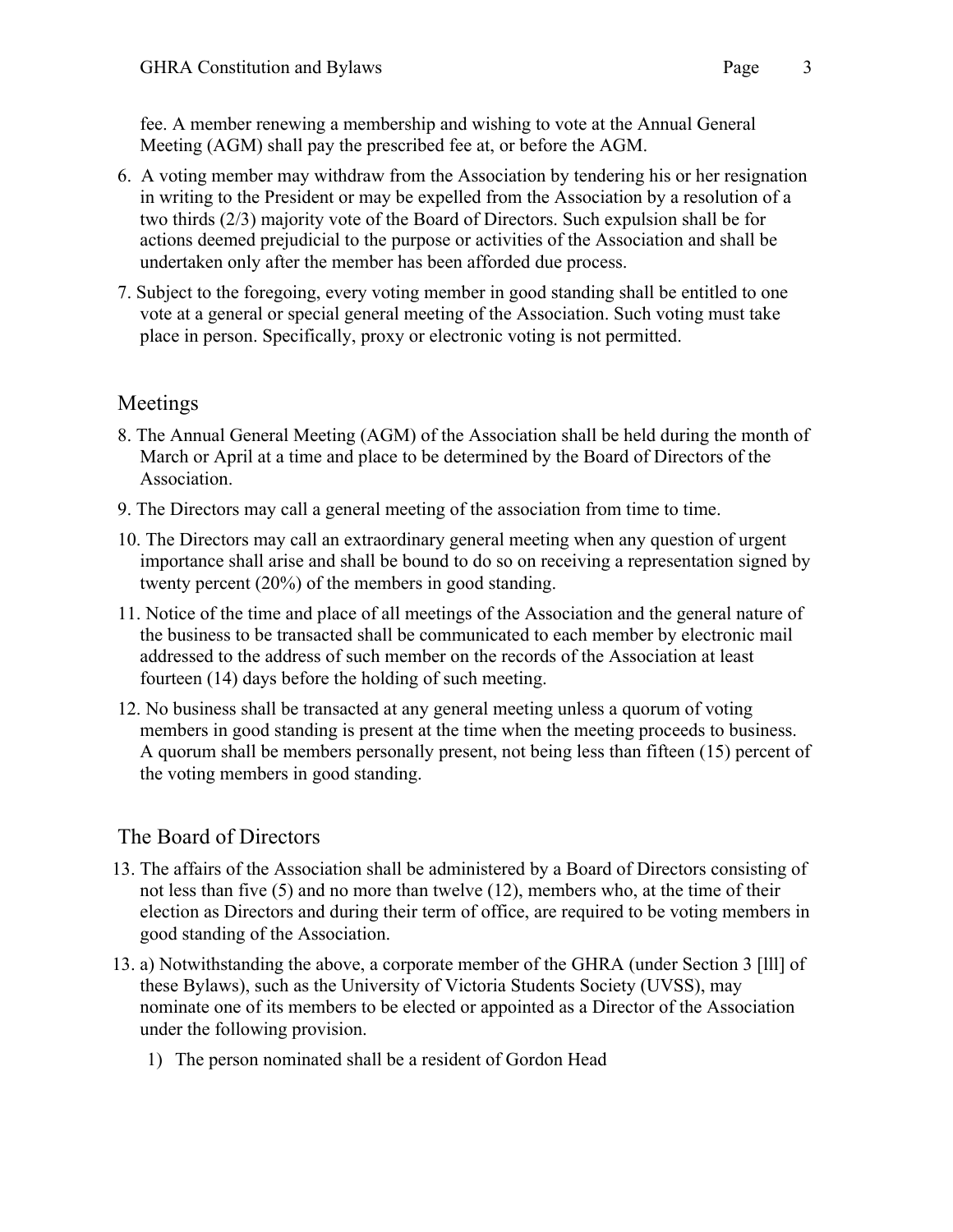fee. A member renewing a membership and wishing to vote at the Annual General Meeting (AGM) shall pay the prescribed fee at, or before the AGM.

- 6. A voting member may withdraw from the Association by tendering his or her resignation in writing to the President or may be expelled from the Association by a resolution of a two thirds (2/3) majority vote of the Board of Directors. Such expulsion shall be for actions deemed prejudicial to the purpose or activities of the Association and shall be undertaken only after the member has been afforded due process.
- 7. Subject to the foregoing, every voting member in good standing shall be entitled to one vote at a general or special general meeting of the Association. Such voting must take place in person. Specifically, proxy or electronic voting is not permitted.

### Meetings

- 8. The Annual General Meeting (AGM) of the Association shall be held during the month of March or April at a time and place to be determined by the Board of Directors of the Association.
- 9. The Directors may call a general meeting of the association from time to time.
- 10. The Directors may call an extraordinary general meeting when any question of urgent importance shall arise and shall be bound to do so on receiving a representation signed by twenty percent (20%) of the members in good standing.
- 11. Notice of the time and place of all meetings of the Association and the general nature of the business to be transacted shall be communicated to each member by electronic mail addressed to the address of such member on the records of the Association at least fourteen (14) days before the holding of such meeting.
- 12. No business shall be transacted at any general meeting unless a quorum of voting members in good standing is present at the time when the meeting proceeds to business. A quorum shall be members personally present, not being less than fifteen (15) percent of the voting members in good standing.

## The Board of Directors

- 13. The affairs of the Association shall be administered by a Board of Directors consisting of not less than five (5) and no more than twelve (12), members who, at the time of their election as Directors and during their term of office, are required to be voting members in good standing of the Association.
- 13. a) Notwithstanding the above, a corporate member of the GHRA (under Section 3 [lll] of these Bylaws), such as the University of Victoria Students Society (UVSS), may nominate one of its members to be elected or appointed as a Director of the Association under the following provision.
	- 1) The person nominated shall be a resident of Gordon Head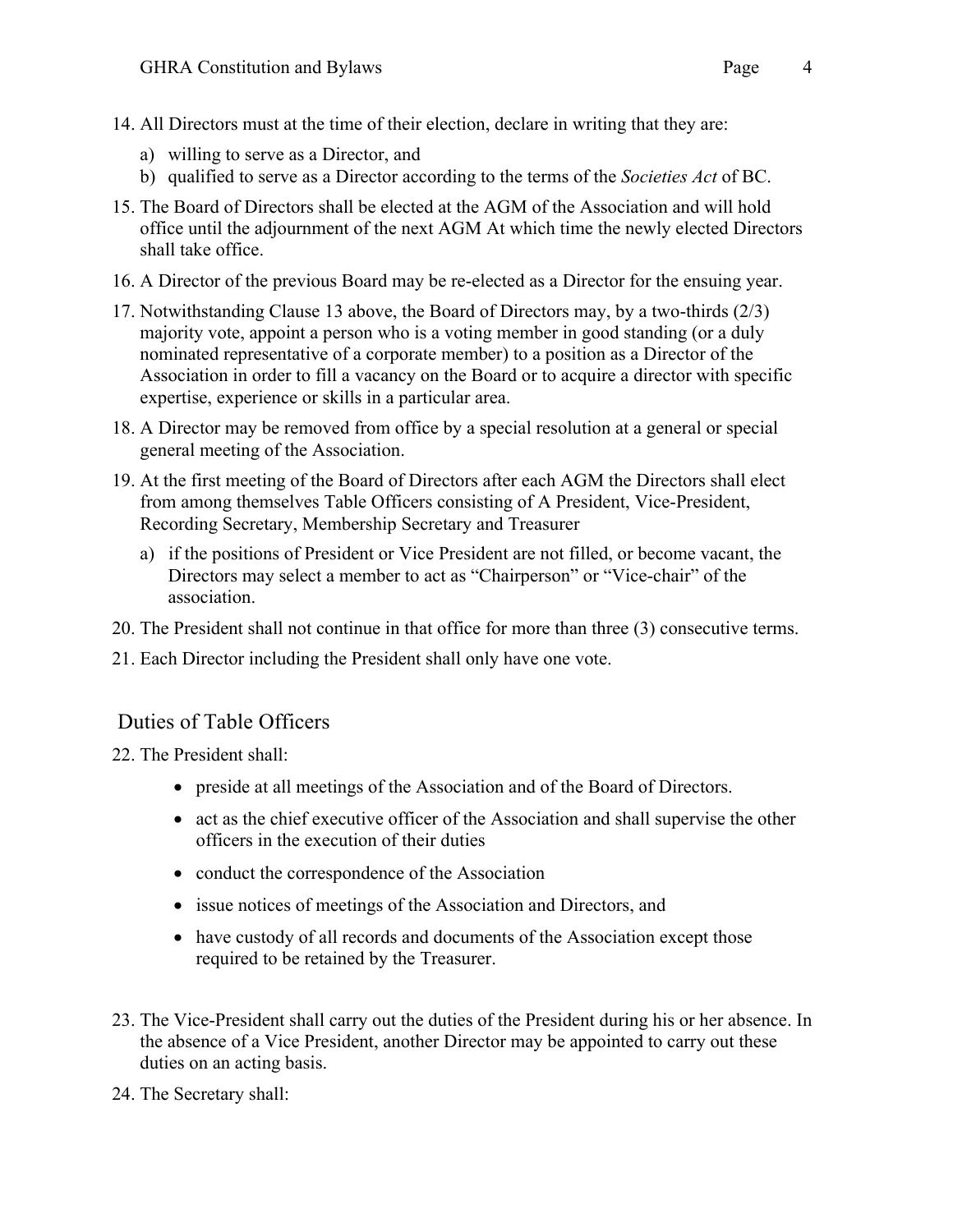- 14. All Directors must at the time of their election, declare in writing that they are:
	- a) willing to serve as a Director, and
	- b) qualified to serve as a Director according to the terms of the *Societies Act* of BC.
- 15. The Board of Directors shall be elected at the AGM of the Association and will hold office until the adjournment of the next AGM At which time the newly elected Directors shall take office.
- 16. A Director of the previous Board may be re-elected as a Director for the ensuing year.
- 17. Notwithstanding Clause 13 above, the Board of Directors may, by a two-thirds (2/3) majority vote, appoint a person who is a voting member in good standing (or a duly nominated representative of a corporate member) to a position as a Director of the Association in order to fill a vacancy on the Board or to acquire a director with specific expertise, experience or skills in a particular area.
- 18. A Director may be removed from office by a special resolution at a general or special general meeting of the Association.
- 19. At the first meeting of the Board of Directors after each AGM the Directors shall elect from among themselves Table Officers consisting of A President, Vice-President, Recording Secretary, Membership Secretary and Treasurer
	- a) if the positions of President or Vice President are not filled, or become vacant, the Directors may select a member to act as "Chairperson" or "Vice-chair" of the association.
- 20. The President shall not continue in that office for more than three (3) consecutive terms.
- 21. Each Director including the President shall only have one vote.

#### Duties of Table Officers

- 22. The President shall:
	- preside at all meetings of the Association and of the Board of Directors.
	- act as the chief executive officer of the Association and shall supervise the other officers in the execution of their duties
	- conduct the correspondence of the Association
	- issue notices of meetings of the Association and Directors, and
	- have custody of all records and documents of the Association except those required to be retained by the Treasurer.
- 23. The Vice-President shall carry out the duties of the President during his or her absence. In the absence of a Vice President, another Director may be appointed to carry out these duties on an acting basis.
- 24. The Secretary shall: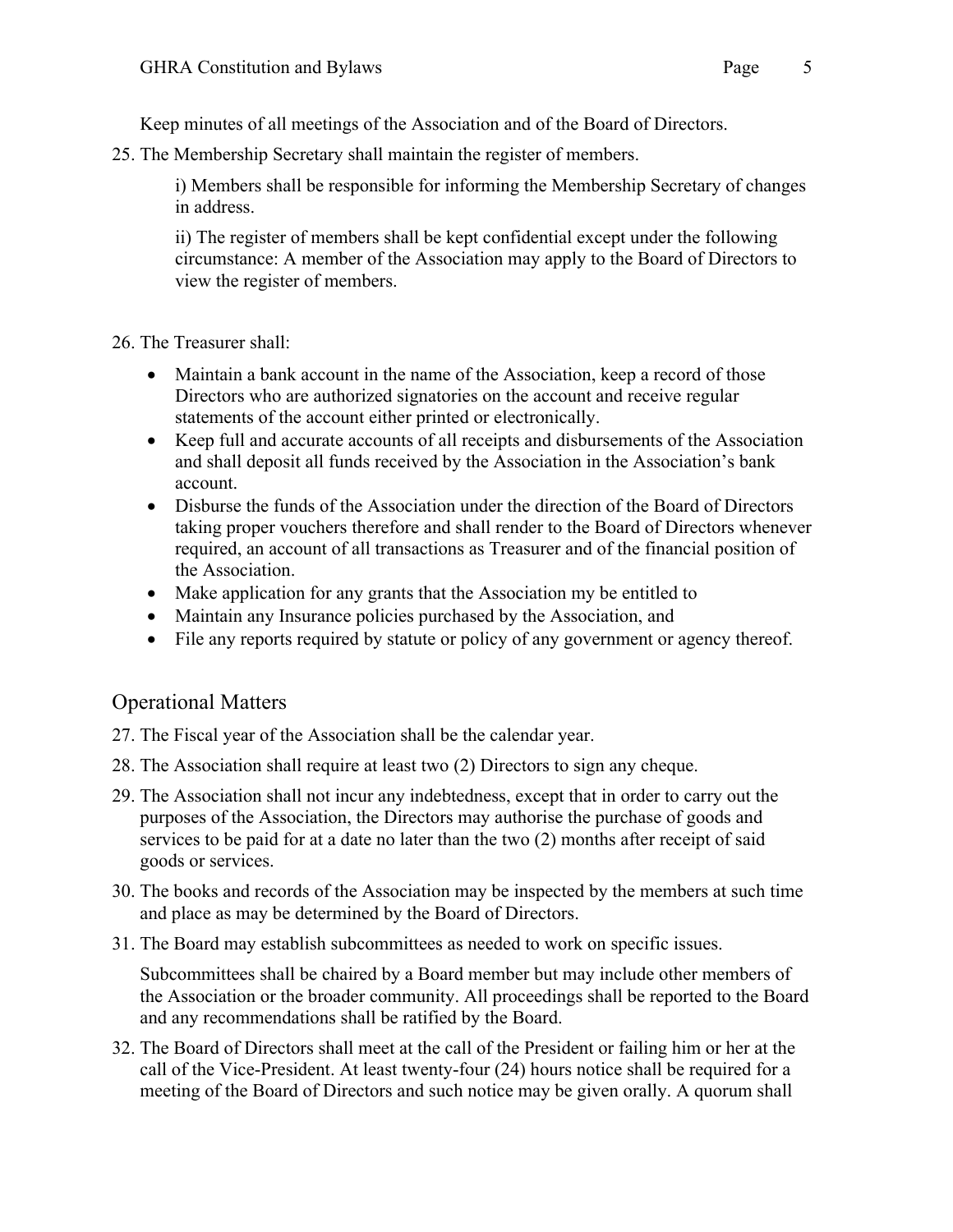Keep minutes of all meetings of the Association and of the Board of Directors.

25. The Membership Secretary shall maintain the register of members.

i) Members shall be responsible for informing the Membership Secretary of changes in address.

ii) The register of members shall be kept confidential except under the following circumstance: A member of the Association may apply to the Board of Directors to view the register of members.

26. The Treasurer shall:

- Maintain a bank account in the name of the Association, keep a record of those Directors who are authorized signatories on the account and receive regular statements of the account either printed or electronically.
- Keep full and accurate accounts of all receipts and disbursements of the Association and shall deposit all funds received by the Association in the Association's bank account.
- Disburse the funds of the Association under the direction of the Board of Directors taking proper vouchers therefore and shall render to the Board of Directors whenever required, an account of all transactions as Treasurer and of the financial position of the Association.
- Make application for any grants that the Association my be entitled to
- Maintain any Insurance policies purchased by the Association, and
- File any reports required by statute or policy of any government or agency thereof.

### Operational Matters

- 27. The Fiscal year of the Association shall be the calendar year.
- 28. The Association shall require at least two (2) Directors to sign any cheque.
- 29. The Association shall not incur any indebtedness, except that in order to carry out the purposes of the Association, the Directors may authorise the purchase of goods and services to be paid for at a date no later than the two (2) months after receipt of said goods or services.
- 30. The books and records of the Association may be inspected by the members at such time and place as may be determined by the Board of Directors.
- 31. The Board may establish subcommittees as needed to work on specific issues.

Subcommittees shall be chaired by a Board member but may include other members of the Association or the broader community. All proceedings shall be reported to the Board and any recommendations shall be ratified by the Board.

32. The Board of Directors shall meet at the call of the President or failing him or her at the call of the Vice-President. At least twenty-four (24) hours notice shall be required for a meeting of the Board of Directors and such notice may be given orally. A quorum shall